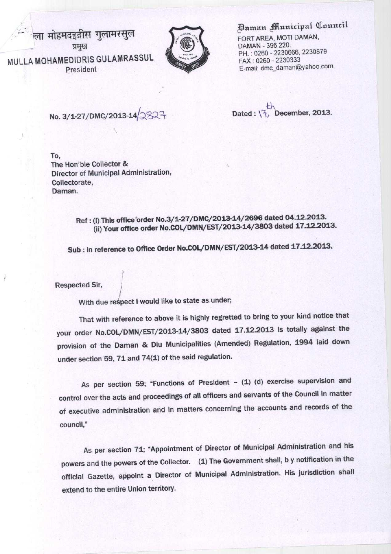ला मोहमदइद्रीस गुलामरसुल प्रमख MULLA MOHAMEDIDRIS GULAMRASSUL President



Paman Municipal Council

FORT AREA, MOTI DAMAN, DAMAN - 396 220. PH.: 0260 - 2230666, 2230879 FAX : 0260 - 2230333 E-mail: dmc\_daman@yahoo.com

**No. 3/ 1-27/DMC**/**2013**-14/

**Dated** : \c, December, 2013.

To, The Hon'ble Collector & Director of **Municipal** Administration, Collectorate, Daman.

> **Ref : (f) This office order No.3/127** /**DMC/2013**-**14/2696 dated 04.12.2013.** (**ii) Your office order No.COL**/**DMN/EST**/**2013-14/3803 dated 17.12.2013.**

**Sub : In reference to Office Order No.COL**/**DMN/EST**/2013-14 dated 17.12.2013.

**Respected Sir,**

**With due respect I would like to state asunder;**

**That with reference to above it is highly regretted to bring to your kind notice that your order No.COL**/**DMN/F**.ST/2013-**14/3803 dated** 17.12.**2013 Is totally against the provision of the Daman** & **Diu Municipalities (Amended** ) **Regulation** , **1994 laid down under section** 59, 71 and 74**(1) of the said regulation.**

**As per section 59; "Functions of President** - (**1) (d) exercise supervision and control over the acts and proceedings of all officers and servants of the Council in matter of executive administration and in matters concerning the accounts and records of the council,"**

As per section 71; "Appointment of Director of Municipal Administration and his powers and the powers of the Collector. (1) The Government shall, b y notification in the official Gazette, appoint a Director **of Municipal** Administration. **His jurisdiction shall** extend to the entire Union territory.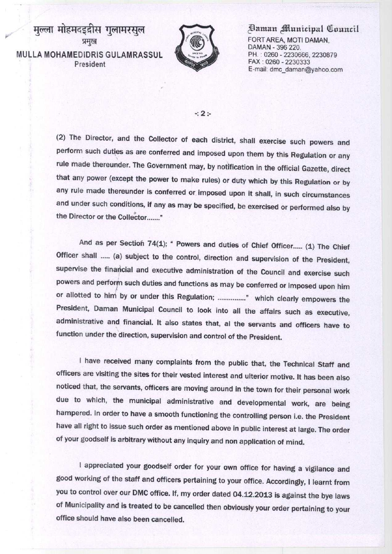मुल्ला मोहमदइदीस गुलामरसूल प्रमुख MULLA **MOHAMEDIDRIS** GULAMRASSUL President



## **Plaman fflunicipal Q^auncil**

**FORT AREA**, **MOTI DAMAN, DAMAN - 396 220. PH. 0260** - **2230666, 2230879 FAX : 0260 - 2230333 E-mail: dmc**\_**daman@yahoo.com**

## **-.2:**

**(2) The Director, and the Collector of each district**, **shall exercise such powers and perform such duties as are conferred and imposed upon them by this Regulation or any rule made thereunder**. **The Government may, by notification in the official Gazette, direct that any power** (**except the power to make rules) or duty which by this Regulation or by any rule made thereunder is conferred or imposed upon It shall, in such circumstances and under such conditions** , **if any as may be specified, be exercised or performed also by the Director or the Collector**......."

And as per Section 74(1); " Powers and duties of Chief Officer..... (1) The Chief Officer shall ..... (a) subject to the control, direction and supervision of the President, **supervise the financial and executive administration of the Council and exercise such** powers and perform such duties and functions as may be conferred or imposed upon him **or allotted to him**/ **by or under this Regulation** ; ...............° **which clearly empowers the President, Daman Municipal Council to look into all the affairs such as executive, administrative and financial** . **It also states that**, **al the servants and officers have to function under the direction, supervision and control of the President.**

**I have received many complaints from the public that, the Technical Staff and officers are visiting the sites for their vested interest and ulterior motive. It has been also noticed that, the servants, officers are moving around in the town for their personal work due to which**, **the municipal administrative and developmental work** , **are being** hampered. In order to have a smooth functioning the controlling person i.e. the Presiden **have all right to issue such order as mentioned above in public interest at large. The order of your goodself is arbitrary without any inquiry and non application of mind.**

**I appreciated your goodself order for your own office for having a vigilance and good working of the staff and officers pertaining to your office** . **Accordingly, I learnt from you to control over our DMC office** . **If, my order dated 04.12** . **2013 is against the bye laws of Municipality and is treated to be cancelled then obviously your order pertaining to your office should have also been cancelled.**